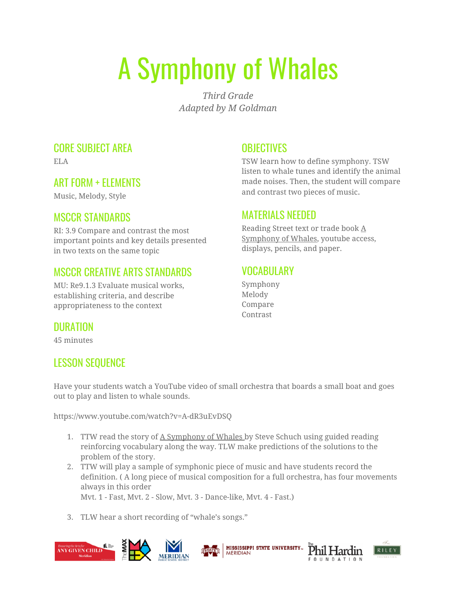# A Symphony of Whales

*Third Grade Adapted by M Goldman*

#### CORE SUBJECT AREA

ELA

## ART FORM + ELEMENTS

Music, Melody, Style

## MSCCR STANDARDS

RI: 3.9 Compare and contrast the most important points and key details presented in two texts on the same topic

## MSCCR CREATIVE ARTS STANDARDS

MU: Re9.1.3 Evaluate musical works, establishing criteria, and describe appropriateness to the context

#### **OBJECTIVES**

TSW learn how to define symphony. TSW listen to whale tunes and identify the animal made noises. Then, the student will compare and contrast two pieces of music.

#### MATERIALS NEEDED

Reading Street text or trade book A Symphony of Whales, youtube access, displays, pencils, and paper.

#### VOCABULARY

Symphony Melody Compare Contrast

## DURATION

45 minutes

## LESSON SEQUENCE

Have your students watch a YouTube video of small orchestra that boards a small boat and goes out to play and listen to whale sounds.

https://www.youtube.com/watch?v=A-dR3uEvDSQ

- 1. TTW read the story of A Symphony of Whales by Steve Schuch using guided reading reinforcing vocabulary along the way. TLW make predictions of the solutions to the problem of the story.
- 2. TTW will play a sample of symphonic piece of music and have students record the definition. ( A long piece of musical composition for a full orchestra, has four movements always in this order

**MERIDIAN** 

Mvt. 1 - Fast, Mvt. 2 - Slow, Mvt. 3 - Dance-like, Mvt. 4 - Fast.)

3. TLW hear a short recording of "whale's songs."